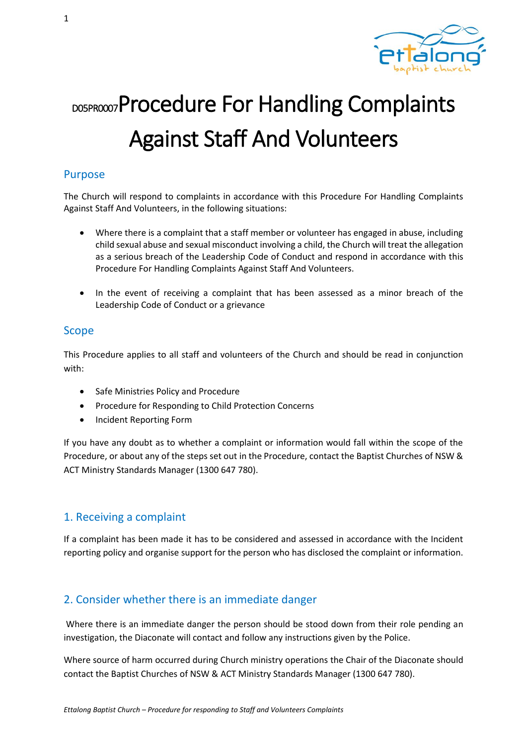

# DO5PRO007Procedure For Handling Complaints Against Staff And Volunteers

## Purpose

The Church will respond to complaints in accordance with this Procedure For Handling Complaints Against Staff And Volunteers, in the following situations:

- Where there is a complaint that a staff member or volunteer has engaged in abuse, including child sexual abuse and sexual misconduct involving a child, the Church will treat the allegation as a serious breach of the Leadership Code of Conduct and respond in accordance with this Procedure For Handling Complaints Against Staff And Volunteers.
- In the event of receiving a complaint that has been assessed as a minor breach of the Leadership Code of Conduct or a grievance

#### Scope

This Procedure applies to all staff and volunteers of the Church and should be read in conjunction with:

- Safe Ministries Policy and Procedure
- Procedure for Responding to Child Protection Concerns
- Incident Reporting Form

If you have any doubt as to whether a complaint or information would fall within the scope of the Procedure, or about any of the steps set out in the Procedure, contact the Baptist Churches of NSW & ACT Ministry Standards Manager (1300 647 780).

### 1. Receiving a complaint

If a complaint has been made it has to be considered and assessed in accordance with the Incident reporting policy and organise support for the person who has disclosed the complaint or information.

## 2. Consider whether there is an immediate danger

 Where there is an immediate danger the person should be stood down from their role pending an investigation, the Diaconate will contact and follow any instructions given by the Police.

Where source of harm occurred during Church ministry operations the Chair of the Diaconate should contact the Baptist Churches of NSW & ACT Ministry Standards Manager (1300 647 780).